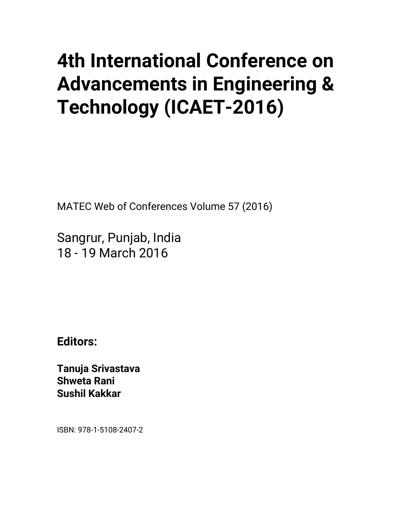## **4th International Conference on Advancements in Engineering & Technology (ICAET-2016)**

MATEC Web of Conferences Volume 57 (2016)

Sangrur, Punjab, India 18 - 19 March 2016

**Editors:** 

**Tanuja Srivastava Shweta Rani Sushil Kakkar** 

ISBN: 978-1-5108-2407-2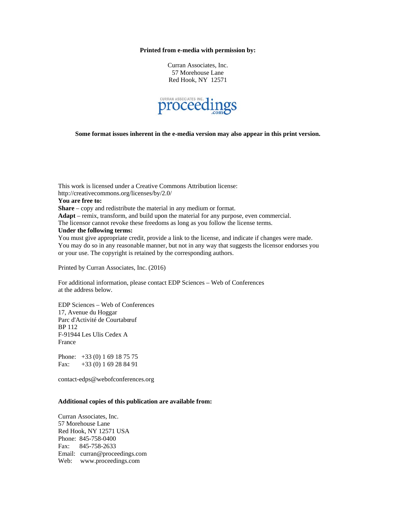## **Printed from e-media with permission by:**

Curran Associates, Inc. 57 Morehouse Lane Red Hook, NY 12571



**Some format issues inherent in the e-media version may also appear in this print version.** 

This work is licensed under a Creative Commons Attribution license: http://creativecommons.org/licenses/by/2.0/ **You are free to: Share** – copy and redistribute the material in any medium or format. **Adapt** – remix, transform, and build upon the material for any purpose, even commercial. The licensor cannot revoke these freedoms as long as you follow the license terms. **Under the following terms:**  You must give appropriate credit, provide a link to the license, and indicate if changes were made. You may do so in any reasonable manner, but not in any way that suggests the licensor endorses you or your use. The copyright is retained by the corresponding authors.

Printed by Curran Associates, Inc. (2016)

For additional information, please contact EDP Sciences – Web of Conferences at the address below.

EDP Sciences – Web of Conferences 17, Avenue du Hoggar Parc d'Activité de Courtabœuf BP 112 F-91944 Les Ulis Cedex A France

Phone: +33 (0) 1 69 18 75 75 Fax: +33 (0) 1 69 28 84 91

contact-edps@webofconferences.org

## **Additional copies of this publication are available from:**

Curran Associates, Inc. 57 Morehouse Lane Red Hook, NY 12571 USA Phone: 845-758-0400 Fax: 845-758-2633 Email: curran@proceedings.com Web: www.proceedings.com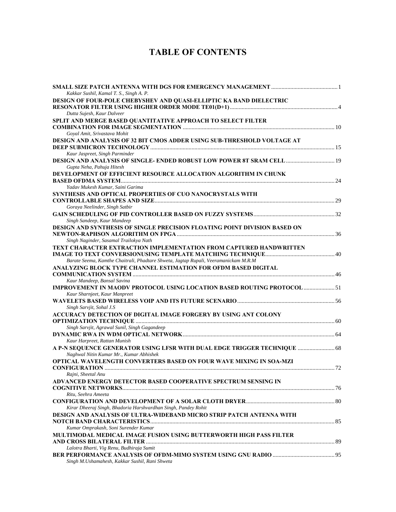## **TABLE OF CONTENTS**

| Kakkar Sushil, Kamal T. S., Singh A. P.                                             |  |
|-------------------------------------------------------------------------------------|--|
| DESIGN OF FOUR-POLE CHEBYSHEV AND QUASI-ELLIPTIC KA BAND DIELECTRIC                 |  |
| Dutta Sujesh, Kaur Dalveer                                                          |  |
| SPLIT AND MERGE BASED QUANTITATIVE APPROACH TO SELECT FILTER                        |  |
|                                                                                     |  |
| Goyal Amit, Srivastava Mohit                                                        |  |
| DESIGN AND ANALYSIS OF 32 BIT CMOS ADDER USING SUB-THRESHOLD VOLTAGE AT             |  |
|                                                                                     |  |
| Kaur Jaspreet, Singh Parminder                                                      |  |
| DESIGN AND ANALYSIS OF SINGLE-ENDED ROBUST LOW POWER 8T SRAM CELL  19               |  |
| Gupta Neha, Pahuja Hitesh                                                           |  |
| DEVELOPMENT OF EFFICIENT RESOURCE ALLOCATION ALGORITHM IN CHUNK                     |  |
| Yadav Mukesh Kumar, Saini Garima                                                    |  |
| <b>SYNTHESIS AND OPTICAL PROPERTIES OF CUO NANOCRYSTALS WITH</b>                    |  |
|                                                                                     |  |
| Goraya Neelinder, Singh Satbir                                                      |  |
|                                                                                     |  |
| Singh Sandeep, Kaur Mandeep                                                         |  |
| DESIGN AND SYNTHESIS OF SINGLE PRECISION FLOATING POINT DIVISION BASED ON           |  |
|                                                                                     |  |
| Singh Naginder, Sasamal Trailokya Nath                                              |  |
| TEXT CHARACTER EXTRACTION IMPLEMENTATION FROM CAPTURED HANDWRITTEN                  |  |
|                                                                                     |  |
| Barate Seema, Kamthe Chaitrali, Phadtare Shweta, Jagtap Rupali, Veeramanickam M.R.M |  |
| ANALYZING BLOCK TYPE CHANNEL ESTIMATION FOR OFDM BASED DIGITAL                      |  |
|                                                                                     |  |
| Kaur Mandeep, Bansal Savina                                                         |  |
| <b>IMPROVEMENT IN MAODV PROTOCOL USING LOCATION BASED ROUTING PROTOCOL  51</b>      |  |
| Kaur Sharnjeet, Kaur Manpreet                                                       |  |
|                                                                                     |  |
| Singh Sarvjit, Sohal J.S                                                            |  |
| ACCURACY DETECTION OF DIGITAL IMAGE FORGERY BY USING ANT COLONY                     |  |
|                                                                                     |  |
| Singh Sarvjit, Agrawal Sunil, Singh Gagandeep                                       |  |
|                                                                                     |  |
| Kaur Harpreet, Rattan Munish                                                        |  |
| A P-N SEQUENCE GENERATOR USING LFSR WITH DUAL EDGE TRIGGER TECHNIQUE  68            |  |
| Naghwal Nitin Kumar Mr., Kumar Abhishek                                             |  |
| OPTICAL WAVELENGTH CONVERTERS BASED ON FOUR WAVE MIXING IN SOA-MZI                  |  |
|                                                                                     |  |
| Rajni, Sheetal Anu                                                                  |  |
| ADVANCED ENERGY DETECTOR BASED COOPERATIVE SPECTRUM SENSING IN                      |  |
| Ritu, Seehra Ameeta                                                                 |  |
|                                                                                     |  |
| Kirar Dheeraj Singh, Bhadoria Harshvardhan Singh, Pandey Rohit                      |  |
| DESIGN AND ANALYSIS OF ULTRA-WIDEBAND MICRO STRIP PATCH ANTENNA WITH                |  |
|                                                                                     |  |
| Kumar Omprakash, Soni Surender Kumar                                                |  |
| MULTIMODAL MEDICAL IMAGE FUSION USING BUTTERWORTH HIGH PASS FILTER                  |  |
|                                                                                     |  |
| Lalotra Bharti, Vig Renu, Budhiraja Sumit                                           |  |
|                                                                                     |  |
| Singh M.Ushamahesh, Kakkar Sushil, Rani Shweta                                      |  |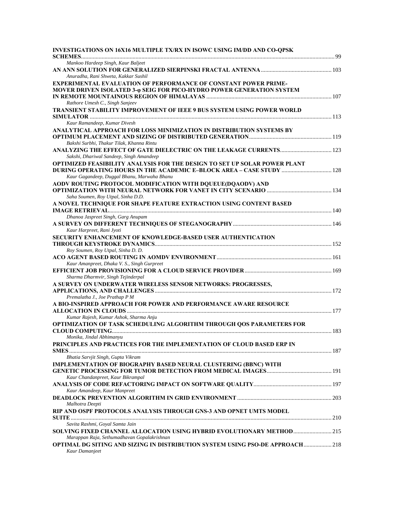| INVESTIGATIONS ON 16X16 MULTIPLE TX/RX IN ISOWC USING IM/DD AND CO-QPSK              |  |
|--------------------------------------------------------------------------------------|--|
| Mankoo Hardeep Singh, Kaur Baljeet                                                   |  |
|                                                                                      |  |
| Anuradha, Rani Shweta, Kakkar Sushil                                                 |  |
| <b>EXPERIMENTAL EVALUATION OF PERFORMANCE OF CONSTANT POWER PRIME-</b>               |  |
| MOVER DRIVEN ISOLATED 3-@ SEIG FOR PICO-HYDRO POWER GENERATION SYSTEM                |  |
|                                                                                      |  |
| Rathore Umesh C., Singh Sanjeev                                                      |  |
| TRANSIENT STABILITY IMPROVEMENT OF IEEE 9 BUS SYSTEM USING POWER WORLD               |  |
| Kaur Ramandeep, Kumar Divesh                                                         |  |
| ANALYTICAL APPROACH FOR LOSS MINIMIZATION IN DISTRIBUTION SYSTEMS BY                 |  |
|                                                                                      |  |
| Bakshi Surbhi, Thakur Tilak, Khanna Rintu                                            |  |
|                                                                                      |  |
| Sakshi, Dhariwal Sandeep, Singh Amandeep                                             |  |
| <b>OPTIMIZED FEASIBILITY ANALYSIS FOR THE DESIGN TO SET UP SOLAR POWER PLANT</b>     |  |
| DURING OPERATING HOURS IN THE ACADEMIC E-BLOCK AREA - CASE STUDY  128                |  |
| Kaur Gagandeep, Duggal Bhanu, Marwaha Bhanu                                          |  |
| AODV ROUTING PROTOCOL MODIFICATION WITH DQUEUE(DQAODV) AND                           |  |
| Saha Soumen, Roy Utpal, Sinha D.D.                                                   |  |
| A NOVEL TECHNIQUE FOR SHAPE FEATURE EXTRACTION USING CONTENT BASED                   |  |
|                                                                                      |  |
| Dhanoa Jaspreet Singh, Garg Anupam                                                   |  |
|                                                                                      |  |
| Kaur Harpreet, Rani Jyoti                                                            |  |
| SECURITY ENHANCEMENT OF KNOWLEDGE-BASED USER AUTHENTICATION                          |  |
|                                                                                      |  |
| Roy Soumen, Roy Utpal, Sinha D. D.                                                   |  |
|                                                                                      |  |
| Kaur Amanpreet, Dhaka V. S., Singh Gurpreet                                          |  |
|                                                                                      |  |
| Sharma Dharmvir, Singh Tejinderpal                                                   |  |
| A SURVEY ON UNDERWATER WIRELESS SENSOR NETWORKS: PROGRESSES,                         |  |
|                                                                                      |  |
| Premalatha J., Joe Prathap P M                                                       |  |
| A BIO-INSPIRED APPROACH FOR POWER AND PERFORMANCE AWARE RESOURCE                     |  |
|                                                                                      |  |
| Kumar Rajesh, Kumar Ashok, Sharma Anju                                               |  |
| OPTIMIZATION OF TASK SCHEDULING ALGORITHM THROUGH QOS PARAMETERS FOR                 |  |
| Monika, Jindal Abhimanyu                                                             |  |
| PRINCIPLES AND PRACTICES FOR THE IMPLEMENTATION OF CLOUD BASED ERP IN                |  |
|                                                                                      |  |
| Bhatia Sarvjit Singh, Gupta Vikram                                                   |  |
| <b>IMPLEMENTATION OF BIOGRAPHY BASED NEURAL CLUSTERING (BBNC) WITH</b>               |  |
|                                                                                      |  |
| Kaur Chandanpreet, Kaur Bikrampal                                                    |  |
|                                                                                      |  |
| Kaur Amandeep, Kaur Manpreet                                                         |  |
|                                                                                      |  |
| Malhotra Deepti                                                                      |  |
| RIP AND OSPF PROTOCOLS ANALYSIS THROUGH GNS-3 AND OPNET UMTS MODEL                   |  |
|                                                                                      |  |
| Savita Rashmi, Goyal Samta Jain                                                      |  |
| SOLVING FIXED CHANNEL ALLOCATION USING HYBRID EVOLUTIONARY METHOD 215                |  |
| Marappan Raja, Sethumadhavan Gopalakrishnan                                          |  |
| <b>OPTIMAL DG SITING AND SIZING IN DISTRIBUTION SYSTEM USING PSO-DE APPROACH 218</b> |  |
| Kaur Damanjeet                                                                       |  |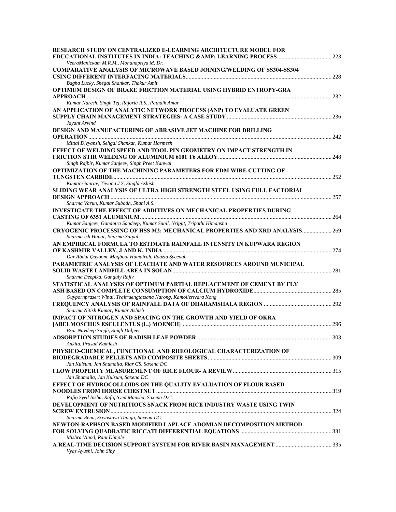| <b>RESEARCH STUDY ON CENTRALIZED E-LEARNING ARCHITECTURE MODEL FOR</b>                                                     |  |
|----------------------------------------------------------------------------------------------------------------------------|--|
| VeeraManickam M.R.M., Mohanapriya M. Dr.                                                                                   |  |
| <b>COMPARATIVE ANALYSIS OF MICROWAVE BASED JOINING/WELDING OF SS304-SS304</b>                                              |  |
| Bagha Lucky, Shegal Shankar, Thakur Amit                                                                                   |  |
| OPTIMUM DESIGN OF BRAKE FRICTION MATERIAL USING HYBRID ENTROPY-GRA                                                         |  |
| Kumar Naresh, Singh Tej, Rajoria R.S., Patnaik Amar                                                                        |  |
| AN APPLICATION OF ANALYTIC NETWORK PROCESS (ANP) TO EVALUATE GREEN                                                         |  |
|                                                                                                                            |  |
| Jayant Arvind                                                                                                              |  |
| <b>DESIGN AND MANUFACTURING OF ABRASIVE JET MACHINE FOR DRILLING</b>                                                       |  |
| Mittal Divyansh, Sehgal Shankar, Kumar Harmesh                                                                             |  |
| EFFECT OF WELDING SPEED AND TOOL PIN GEOMETRY ON IMPACT STRENGTH IN                                                        |  |
|                                                                                                                            |  |
| Singh Rajbir, Kumar Sanjeev, Singh Preet Kanwal                                                                            |  |
| OPTIMIZATION OF THE MACHINING PARAMETERS FOR EDM WIRE CUTTING OF                                                           |  |
|                                                                                                                            |  |
| Kumar Gaurav, Tiwana J S, Singla Ashish                                                                                    |  |
| SLIDING WEAR ANALYSIS OF ULTRA HIGH STRENGTH STEEL USING FULL FACTORIAL                                                    |  |
| Sharma Varun, Kumar Subodh, Shahi A.S.                                                                                     |  |
| <b>INVESTIGATE THE EFFECT OF ADDITIVES ON MECHANICAL PROPERTIES DURING</b>                                                 |  |
|                                                                                                                            |  |
| Kumar Sanjeev, Gandotra Sandeep, Kumar Sunil, Nripjit, Tripathi Himanshu                                                   |  |
| CRYOGENIC PROCESSING OF HSS M2: MECHANICAL PROPERTIES AND XRD ANALYSIS 269<br>Sharma Ish Hunar, Sharma Satpal              |  |
| AN EMPIRICAL FORMULA TO ESTIMATE RAINFALL INTENSITY IN KUPWARA REGION                                                      |  |
|                                                                                                                            |  |
| Dar Abdul Qayoom, Maqbool Humairah, Raazia Syeedah<br>PARAMETRIC ANALYSIS OF LEACHATE AND WATER RESOURCES AROUND MUNICIPAL |  |
|                                                                                                                            |  |
| Sharma Deepika, Ganguly Rajiv                                                                                              |  |
| STATISTICAL ANALYSES OF OPTIMUM PARTIAL REPLACEMENT OF CEMENT BY FLY                                                       |  |
|                                                                                                                            |  |
| Ouypornprasert Winai, Traitruengtatsana Narong, Kamollertvara Kong                                                         |  |
| Sharma Nitish Kumar, Kumar Ashish                                                                                          |  |
| IMPACT OF NITROGEN AND SPACING ON THE GROWTH AND YIELD OF OKRA                                                             |  |
|                                                                                                                            |  |
| Brar Navdeep Singh, Singh Daljeet                                                                                          |  |
|                                                                                                                            |  |
| Ankita, Prasad Kamlesh                                                                                                     |  |
| PHYSICO-CHEMICAL, FUNCTIONAL AND RHEOLOGICAL CHARACTERIZATION OF                                                           |  |
| Jan Kulsum, Jan Shumaila, Riar CS, Saxena DC                                                                               |  |
|                                                                                                                            |  |
| Jan Shumaila, Jan Kulsum, Saxena DC                                                                                        |  |
| EFFECT OF HYDROCOLLOIDS ON THE QUALITY EVALUATION OF FLOUR BASED                                                           |  |
|                                                                                                                            |  |
| Rafiq Syed Insha, Rafiq Syed Mansha, Saxena D.C.                                                                           |  |
| DEVELOPMENT OF NUTRITIOUS SNACK FROM RICE INDUSTRY WASTE USING TWIN                                                        |  |
| Sharma Renu, Srivastava Tanuja, Saxena DC                                                                                  |  |
| NEWTON-RAPHSON BASED MODIFIED LAPLACE ADOMIAN DECOMPOSITION METHOD                                                         |  |
|                                                                                                                            |  |
| Mishra Vinod, Rani Dimple                                                                                                  |  |
| Vyas Ayushi, John Siby                                                                                                     |  |